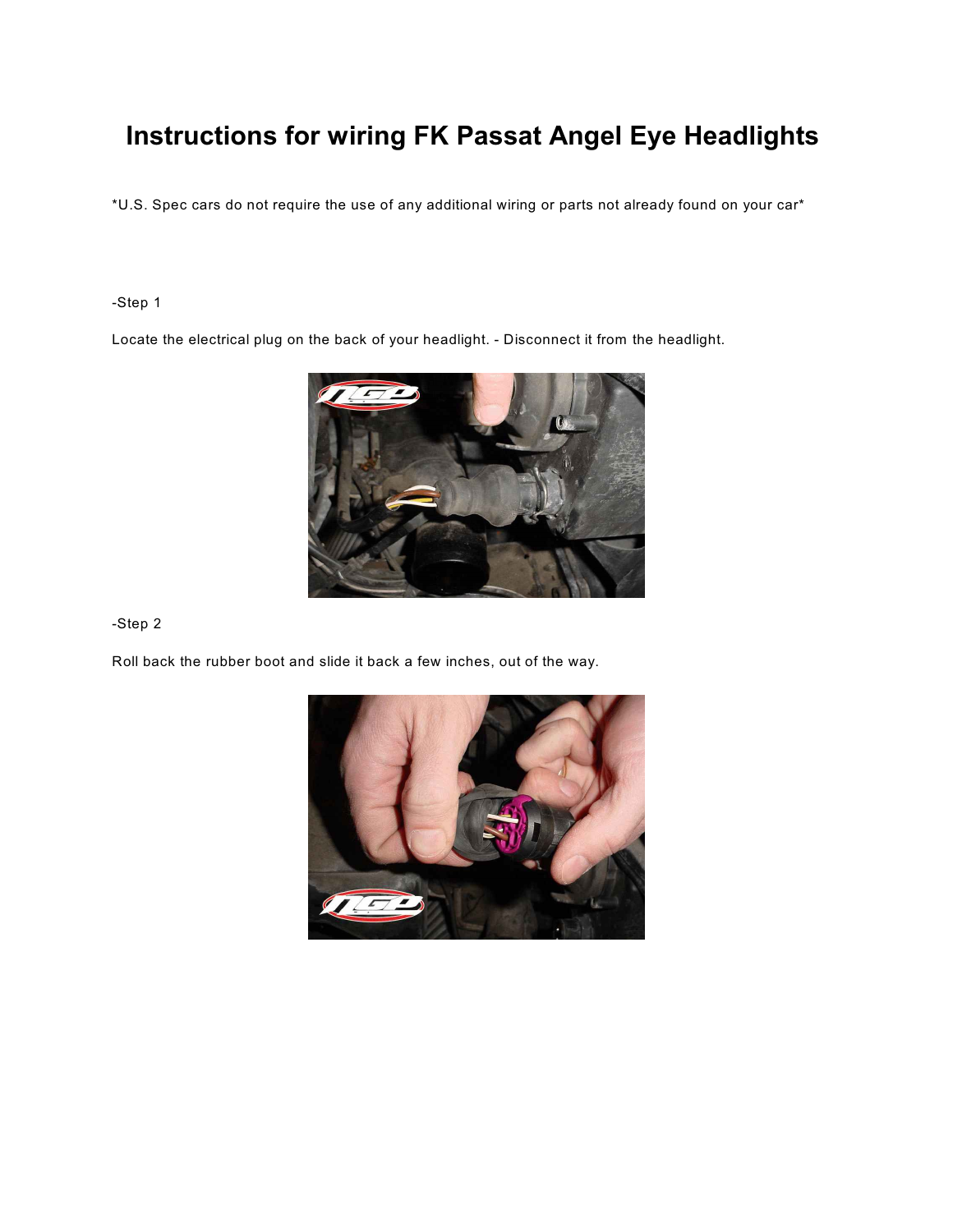# **Instructions for wiring FK Passat Angel Eye Headlights**

\*U.S. Spec cars do not require the use of any additional wiring or parts not already found on your car\*

## -Step 1

Locate the electrical plug on the back of your headlight. - Disconnect it from the headlight.



### -Step 2

Roll back the rubber boot and slide it back a few inches, out of the way.

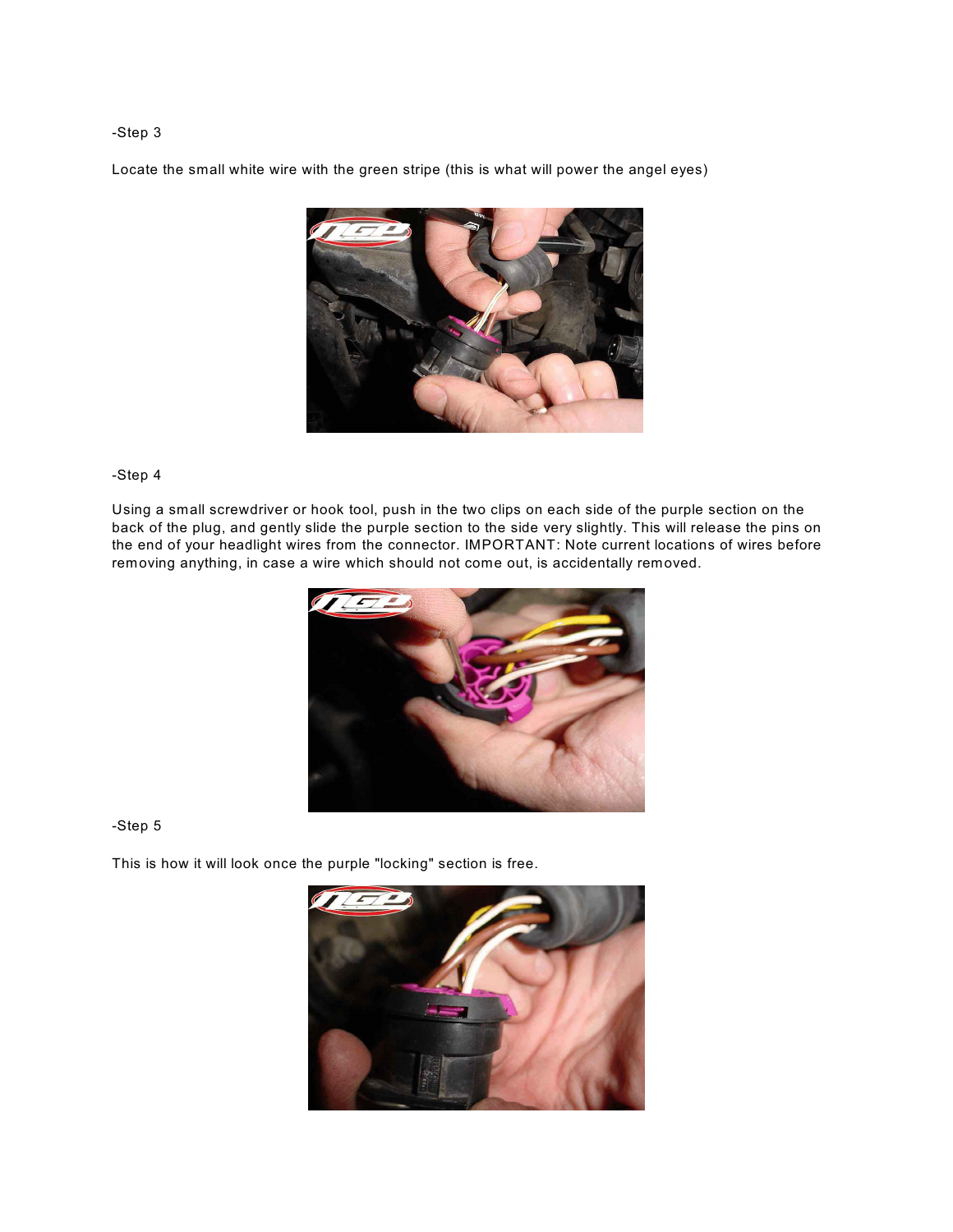#### -Step 3

Locate the small white wire with the green stripe (this is what will power the angel eyes)



#### -Step 4

Using a small screwdriver or hook tool, push in the two clips on each side of the purple section on the back of the plug, and gently slide the purple section to the side very slightly. This will release the pins on the end of your headlight wires from the connector. IMPORTANT: Note current locations of wires before removing anything, in case a wire which should not come out, is accidentally removed.



#### -Step 5

This is how it will look once the purple "locking" section is free.

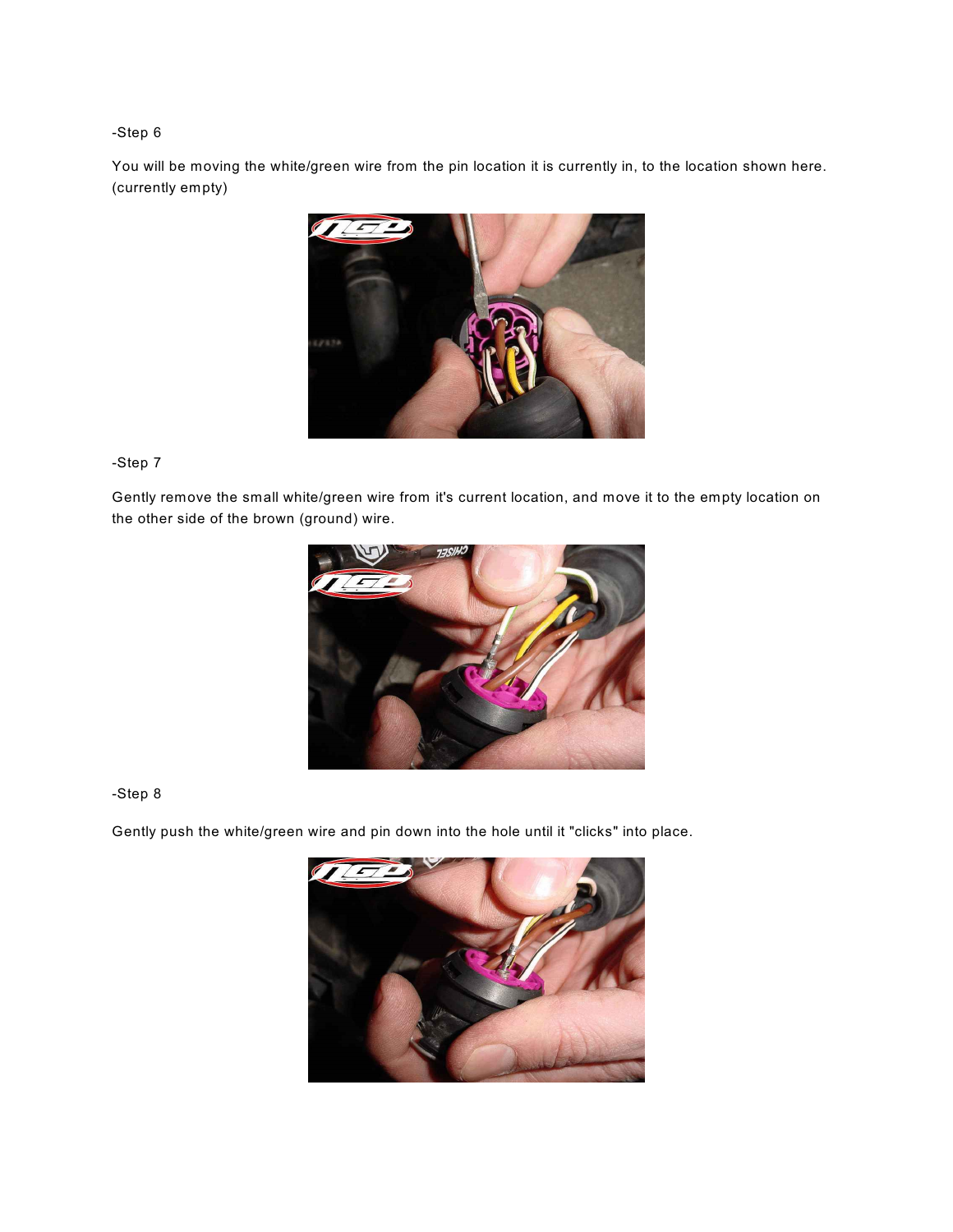## -Step 6

You will be moving the white/green wire from the pin location it is currently in, to the location shown here. (currently empty)



## -Step 7

Gently remove the small white/green wire from it's current location, and move it to the empty location on the other side of the brown (ground) wire.



### -Step 8

Gently push the white/green wire and pin down into the hole until it "clicks" into place.